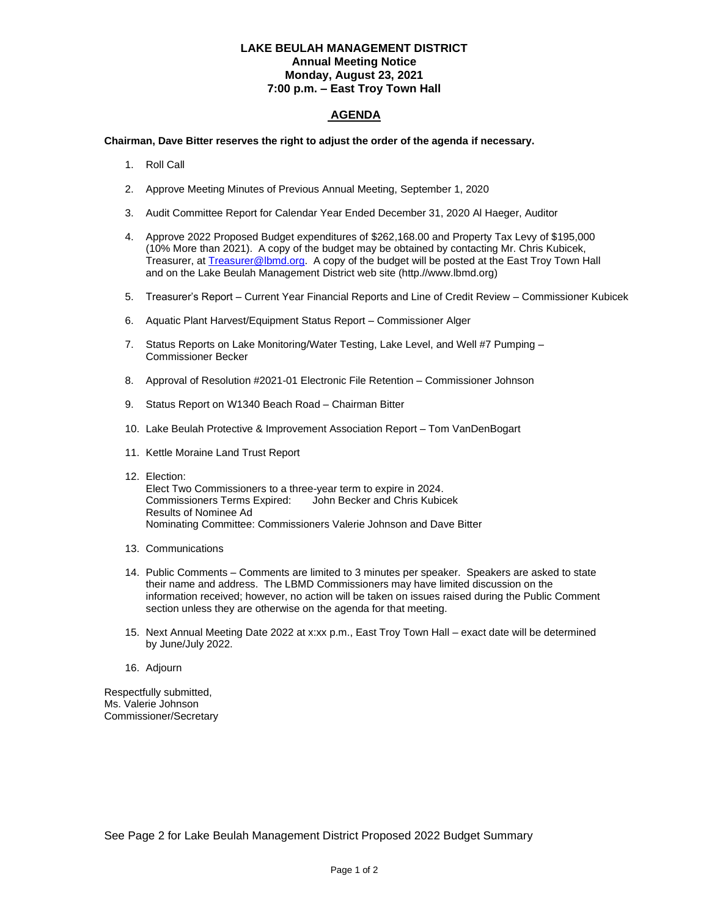## **LAKE BEULAH MANAGEMENT DISTRICT Annual Meeting Notice Monday, August 23, 2021 7:00 p.m. – East Troy Town Hall**

## **AGENDA**

## **Chairman, Dave Bitter reserves the right to adjust the order of the agenda if necessary.**

- 1. Roll Call
- 2. Approve Meeting Minutes of Previous Annual Meeting, September 1, 2020
- 3. Audit Committee Report for Calendar Year Ended December 31, 2020 Al Haeger, Auditor
- 4. Approve 2022 Proposed Budget expenditures of \$262,168.00 and Property Tax Levy of \$195,000 (10% More than 2021). A copy of the budget may be obtained by contacting Mr. Chris Kubicek, Treasurer, at **Treasurer@lbmd.org.** A copy of the budget will be posted at the East Troy Town Hall and on the Lake Beulah Management District web site (http.//www.lbmd.org)
- 5. Treasurer's Report Current Year Financial Reports and Line of Credit Review Commissioner Kubicek
- 6. Aquatic Plant Harvest/Equipment Status Report Commissioner Alger
- 7. Status Reports on Lake Monitoring/Water Testing, Lake Level, and Well #7 Pumping -Commissioner Becker
- 8. Approval of Resolution #2021-01 Electronic File Retention Commissioner Johnson
- 9. Status Report on W1340 Beach Road Chairman Bitter
- 10. Lake Beulah Protective & Improvement Association Report Tom VanDenBogart
- 11. Kettle Moraine Land Trust Report
- 12. Election: Elect Two Commissioners to a three-year term to expire in 2024. Commissioners Terms Expired: John Becker and Chris Kubicek Results of Nominee Ad Nominating Committee: Commissioners Valerie Johnson and Dave Bitter
- 13. Communications
- 14. Public Comments Comments are limited to 3 minutes per speaker. Speakers are asked to state their name and address. The LBMD Commissioners may have limited discussion on the information received; however, no action will be taken on issues raised during the Public Comment section unless they are otherwise on the agenda for that meeting.
- 15. Next Annual Meeting Date 2022 at x:xx p.m., East Troy Town Hall exact date will be determined by June/July 2022.
- 16. Adjourn

Respectfully submitted, Ms. Valerie Johnson Commissioner/Secretary